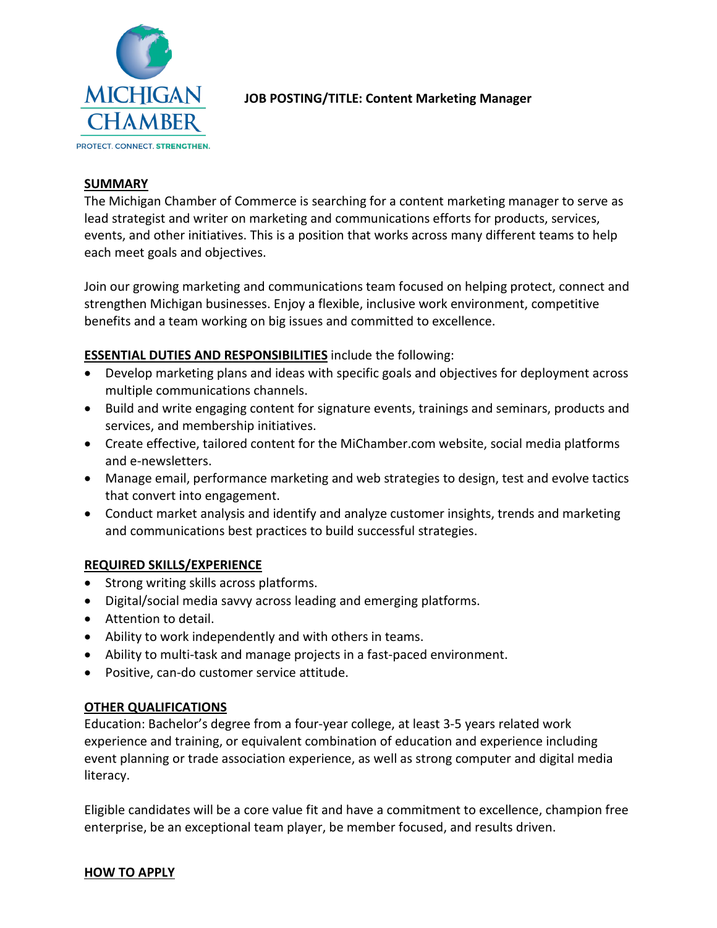

# **JOB POSTING/TITLE: Content Marketing Manager**

### **SUMMARY**

The Michigan Chamber of Commerce is searching for a content marketing manager to serve as lead strategist and writer on marketing and communications efforts for products, services, events, and other initiatives. This is a position that works across many different teams to help each meet goals and objectives.

Join our growing marketing and communications team focused on helping protect, connect and strengthen Michigan businesses. Enjoy a flexible, inclusive work environment, competitive benefits and a team working on big issues and committed to excellence.

## **ESSENTIAL DUTIES AND RESPONSIBILITIES** include the following:

- Develop marketing plans and ideas with specific goals and objectives for deployment across multiple communications channels.
- Build and write engaging content for signature events, trainings and seminars, products and services, and membership initiatives.
- Create effective, tailored content for the MiChamber.com website, social media platforms and e-newsletters.
- Manage email, performance marketing and web strategies to design, test and evolve tactics that convert into engagement.
- Conduct market analysis and identify and analyze customer insights, trends and marketing and communications best practices to build successful strategies.

## **REQUIRED SKILLS/EXPERIENCE**

- Strong writing skills across platforms.
- Digital/social media savvy across leading and emerging platforms.
- Attention to detail.
- Ability to work independently and with others in teams.
- Ability to multi-task and manage projects in a fast-paced environment.
- Positive, can-do customer service attitude.

#### **OTHER QUALIFICATIONS**

Education: Bachelor's degree from a four-year college, at least 3-5 years related work experience and training, or equivalent combination of education and experience including event planning or trade association experience, as well as strong computer and digital media literacy.

Eligible candidates will be a core value fit and have a commitment to excellence, champion free enterprise, be an exceptional team player, be member focused, and results driven.

#### **HOW TO APPLY**